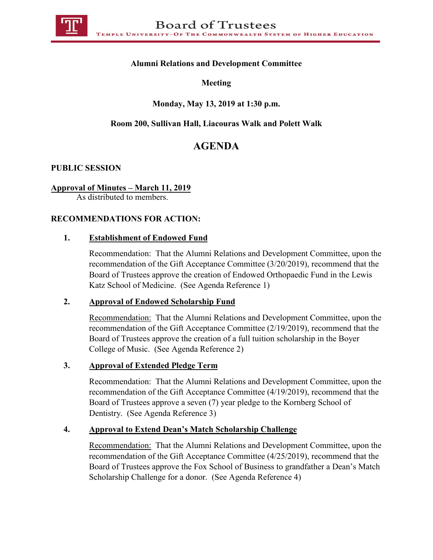

### **Alumni Relations and Development Committee**

**Meeting**

### **Monday, May 13, 2019 at 1:30 p.m.**

## **Room 200, Sullivan Hall, Liacouras Walk and Polett Walk**

# **AGENDA**

#### **PUBLIC SESSION**

#### **Approval of Minutes – March 11, 2019**

As distributed to members.

#### **RECOMMENDATIONS FOR ACTION:**

#### **1. Establishment of Endowed Fund**

Recommendation: That the Alumni Relations and Development Committee, upon the recommendation of the Gift Acceptance Committee (3/20/2019), recommend that the Board of Trustees approve the creation of Endowed Orthopaedic Fund in the Lewis Katz School of Medicine. (See Agenda Reference 1)

#### **2. Approval of Endowed Scholarship Fund**

Recommendation: That the Alumni Relations and Development Committee, upon the recommendation of the Gift Acceptance Committee (2/19/2019), recommend that the Board of Trustees approve the creation of a full tuition scholarship in the Boyer College of Music. (See Agenda Reference 2)

### **3. Approval of Extended Pledge Term**

Recommendation: That the Alumni Relations and Development Committee, upon the recommendation of the Gift Acceptance Committee (4/19/2019), recommend that the Board of Trustees approve a seven (7) year pledge to the Kornberg School of Dentistry. (See Agenda Reference 3)

#### **4. Approval to Extend Dean's Match Scholarship Challenge**

Recommendation: That the Alumni Relations and Development Committee, upon the recommendation of the Gift Acceptance Committee (4/25/2019), recommend that the Board of Trustees approve the Fox School of Business to grandfather a Dean's Match Scholarship Challenge for a donor. (See Agenda Reference 4)